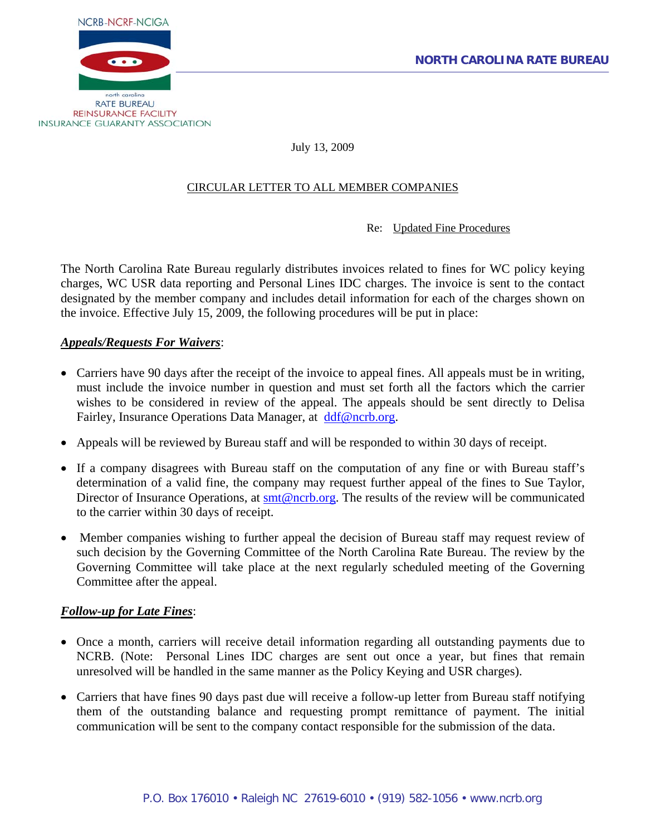

July 13, 2009

## CIRCULAR LETTER TO ALL MEMBER COMPANIES

Re: Updated Fine Procedures

The North Carolina Rate Bureau regularly distributes invoices related to fines for WC policy keying charges, WC USR data reporting and Personal Lines IDC charges. The invoice is sent to the contact designated by the member company and includes detail information for each of the charges shown on the invoice. Effective July 15, 2009, the following procedures will be put in place:

## *Appeals/Requests For Waivers*:

- Carriers have 90 days after the receipt of the invoice to appeal fines. All appeals must be in writing, must include the invoice number in question and must set forth all the factors which the carrier wishes to be considered in review of the appeal. The appeals should be sent directly to Delisa Fairley, Insurance Operations Data Manager, at [ddf@ncrb.org.](mailto:ddf@ncrb.org)
- Appeals will be reviewed by Bureau staff and will be responded to within 30 days of receipt.
- If a company disagrees with Bureau staff on the computation of any fine or with Bureau staff's determination of a valid fine, the company may request further appeal of the fines to Sue Taylor, Director of Insurance Operations, at  $\text{smt@ncrb.org}$  $\text{smt@ncrb.org}$  $\text{smt@ncrb.org}$ . The results of the review will be communicated to the carrier within 30 days of receipt.
- Member companies wishing to further appeal the decision of Bureau staff may request review of such decision by the Governing Committee of the North Carolina Rate Bureau. The review by the Governing Committee will take place at the next regularly scheduled meeting of the Governing Committee after the appeal.

## *Follow-up for Late Fines*:

- Once a month, carriers will receive detail information regarding all outstanding payments due to NCRB. (Note: Personal Lines IDC charges are sent out once a year, but fines that remain unresolved will be handled in the same manner as the Policy Keying and USR charges).
- Carriers that have fines 90 days past due will receive a follow-up letter from Bureau staff notifying them of the outstanding balance and requesting prompt remittance of payment. The initial communication will be sent to the company contact responsible for the submission of the data.